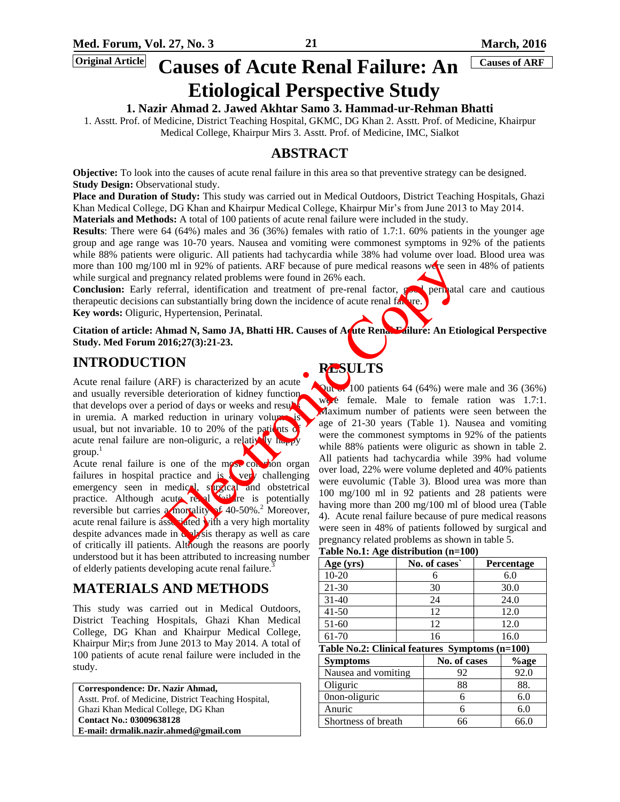# **Causes of Acute Renal Failure: An Causes of ARF Etiological Perspective Study**

# **1. Nazir Ahmad 2. Jawed Akhtar Samo 3. Hammad-ur-Rehman Bhatti**

1. Asstt. Prof. of Medicine, District Teaching Hospital, GKMC, DG Khan 2. Asstt. Prof. of Medicine, Khairpur Medical College, Khairpur Mirs 3. Asstt. Prof. of Medicine, IMC, Sialkot

# **ABSTRACT**

**Objective:** To look into the causes of acute renal failure in this area so that preventive strategy can be designed. **Study Design: Observational study.** 

**Place and Duration of Study:** This study was carried out in Medical Outdoors, District Teaching Hospitals, Ghazi Khan Medical College, DG Khan and Khairpur Medical College, Khairpur Mir's from June 2013 to May 2014.

**Materials and Methods:** A total of 100 patients of acute renal failure were included in the study.

**Results**: There were 64 (64%) males and 36 (36%) females with ratio of 1.7:1. 60% patients in the younger age group and age range was 10-70 years. Nausea and vomiting were commonest symptoms in 92% of the patients while 88% patients were oliguric. All patients had tachycardia while 38% had volume over load. Blood urea was more than 100 mg/100 ml in 92% of patients. ARF because of pure medical reasons were seen in 48% of patients while surgical and pregnancy related problems were found in 26% each.

Conclusion: Early referral, identification and treatment of pre-renal factor, good perinatal care and cautious therapeutic decisions can substantially bring down the incidence of acute renal failure. **Key words:** Oliguric, Hypertension, Perinatal.

Citation of article: Ahmad N, Samo JA, Bhatti HR. Causes of Aqute Rena. Failure: An Etiological Perspective **Study. Med Forum 2016;27(3):21-23.** 

# **INTRODUCTION**

Acute renal failure (ARF) is characterized by an acute and usually reversible deterioration of kidney function that develops over a period of days or weeks and results in uremia. A marked reduction in urinary volument usual, but not invariable. 10 to 20% of the pation of acute renal failure are non-oliguric, a relatively happy  $\text{group}$ <sup>1</sup>

Acute renal failure is one of the most common organ failures in hospital practice and is a very challenging emergency seen in medical, surgical and obstetrical practice. Although acute renal solution is potentially reversible but carries a mortality of 40-50%.<sup>2</sup> Moreover, acute renal failure is assected with a very high mortality despite advances made in  $\frac{dy}{dx}$ sis therapy as well as care of critically ill patients. Although the reasons are poorly understood but it has been attributed to increasing number of elderly patients developing acute renal failure.<sup>3</sup>

# **MATERIALS AND METHODS**

This study was carried out in Medical Outdoors, District Teaching Hospitals, Ghazi Khan Medical College, DG Khan and Khairpur Medical College, Khairpur Mir;s from June 2013 to May 2014. A total of 100 patients of acute renal failure were included in the study.

**Correspondence: Dr. Nazir Ahmad,**  Asstt. Prof. of Medicine, District Teaching Hospital, Ghazi Khan Medical College, DG Khan **Contact No.: 03009638128 E-mail: [drmalik.nazir.ahmed@gmail.com](mailto:drmalik.nazir.ahmed@gmail.com)**

# **RESULTS**

**Out of 100 patients 64 (64%) were male and 36 (36%)** were female. Male to female ration was 1.7:1. Maximum number of patients were seen between the age of 21-30 years (Table 1). Nausea and vomiting were the commonest symptoms in 92% of the patients while 88% patients were oliguric as shown in table 2. All patients had tachycardia while 39% had volume over load, 22% were volume depleted and 40% patients were euvolumic (Table 3). Blood urea was more than 100 mg/100 ml in 92 patients and 28 patients were having more than 200 mg/100 ml of blood urea (Table 4). Acute renal failure because of pure medical reasons were seen in 48% of patients followed by surgical and pregnancy related problems as shown in table 5. 0 ml in 92% of patients. ARF because of pure medical reasons we seem<br>eferral, identification sure found in 26% each.<br>
efferral, identification and treatment of per-enal factor, general<br>
can substantially bring down the in

**Table No.1: Age distribution (n=100)** 

| Age (yrs)                                      | No. of cases |              | Percentage |      |
|------------------------------------------------|--------------|--------------|------------|------|
| $10 - 20$                                      | 6            |              | 6.0        |      |
| $21 - 30$                                      | 30           |              | 30.0       |      |
| $31 - 40$                                      | 24           |              | 24.0       |      |
| $41 - 50$                                      | 12           |              | 12.0       |      |
| $51-60$                                        | 12           |              | 12.0       |      |
| 61-70                                          | 16           |              | 16.0       |      |
| Table No.2: Clinical features Symptoms (n=100) |              |              |            |      |
| <b>Symptoms</b>                                |              | No. of cases |            | %age |
| Nausea and vomiting                            |              | 92           |            | 92.0 |
| Oliguric                                       |              | 88           |            | 88.  |
| 0non-oliguric                                  |              | 6            |            | 6.0  |
| Anuric                                         |              | 6            |            | 6.0  |
| Shortness of breath                            |              | 66           |            | 66.0 |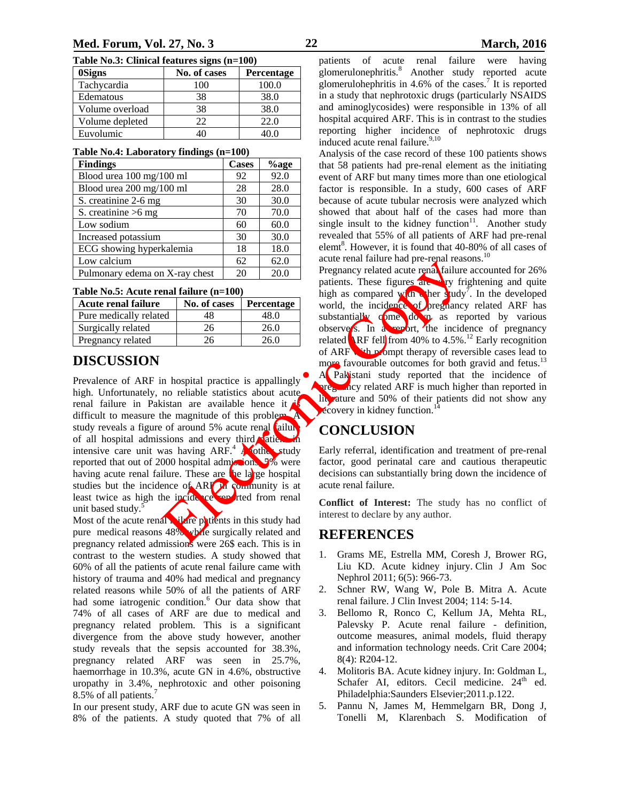| Table No.3: Clinical features signs (n=100) |  |  |  |  |
|---------------------------------------------|--|--|--|--|
|---------------------------------------------|--|--|--|--|

| <b>OSigns</b>   | No. of cases | Percentage |
|-----------------|--------------|------------|
| Tachycardia     | 100          | 100.0      |
| Edematous       | 38           | 38.0       |
| Volume overload | 38           | 38.0       |
| Volume depleted | 22           | 22.0       |
| Euvolumic       | 10           |            |

### **Table No.4: Laboratory findings (n=100)**

| <b>Findings</b>                | Cases | %age |
|--------------------------------|-------|------|
| Blood urea 100 mg/100 ml       | 92    | 92.0 |
| Blood urea 200 mg/100 ml       | 28    | 28.0 |
| S. creatinine 2-6 mg           | 30    | 30.0 |
| S. creatinine $>6$ mg          | 70    | 70.0 |
| Low sodium                     | 60    | 60.0 |
| Increased potassium            | 30    | 30.0 |
| ECG showing hyperkalemia       | 18    | 18.0 |
| Low calcium                    | 62    | 62.0 |
| Pulmonary edema on X-ray chest | 20    | 20.0 |

| Table No.5: Acute renal failure (n=100) |  |  |  |
|-----------------------------------------|--|--|--|
|-----------------------------------------|--|--|--|

| <b>Acute renal failure</b> | No. of cases | <b>Percentage</b> |
|----------------------------|--------------|-------------------|
| Pure medically related     | 48           | 48.0              |
| Surgically related         | 26           | 26.0              |
| Pregnancy related          | 26           | 26.0              |

# **DISCUSSION**

Prevalence of ARF in hospital practice is appallingly high. Unfortunately, no reliable statistics about acute renal failure in Pakistan are available hence it difficult to measure the magnitude of this problem. study reveals a figure of around  $5\%$  acute renal failure of all hospital admissions and every third baties intensive care unit was having  $ARF<sup>4</sup>$  and study reported that out of 2000 hospital admissions, 5% were having acute renal failure. These are the large hospital studies but the incidence of  $ARF$  in community is at least twice as high the incidence reported from renal unit based study.<sup>5</sup>

Most of the acute renal with the patients in this study had pure medical reasons 48% while surgically related and pregnancy related admissions were 26\$ each. This is in contrast to the western studies. A study showed that 60% of all the patients of acute renal failure came with history of trauma and 40% had medical and pregnancy related reasons while 50% of all the patients of ARF had some iatrogenic condition.<sup>6</sup> Our data show that 74% of all cases of ARF are due to medical and pregnancy related problem. This is a significant divergence from the above study however, another study reveals that the sepsis accounted for 38.3%, pregnancy related ARF was seen in 25.7%, haemorrhage in 10.3%, acute GN in 4.6%, obstructive uropathy in 3.4%, nephrotoxic and other poisoning 8.5% of all patients.<sup>7</sup>

In our present study, ARF due to acute GN was seen in 8% of the patients. A study quoted that 7% of all

patients of acute renal failure were having glomerulonephritis.<sup>8</sup> Another study reported acute glomerulohephritis in 4.6% of the cases.<sup>7</sup> It is reported in a study that nephrotoxic drugs (particularly NSAIDS and aminoglycosides) were responsible in 13% of all hospital acquired ARF. This is in contrast to the studies reporting higher incidence of nephrotoxic drugs induced acute renal failure.<sup>9,10</sup>

Analysis of the case record of these 100 patients shows that 58 patients had pre-renal element as the initiating event of ARF but many times more than one etiological factor is responsible. In a study, 600 cases of ARF because of acute tubular necrosis were analyzed which showed that about half of the cases had more than single insult to the kidney function $11$ . Another study revealed that 55% of all patients of ARF had pre-renal elemt<sup>8</sup>. However, it is found that 40-80% of all cases of acute renal failure had pre-renal reasons. $^{10}$ 

Pregnancy related acute renal failure accounted for 26% patients. These figures are very frightening and quite high as compared with the study<sup>7</sup>. In the developed world, the incidence of pregnancy related ARF has substantially come down as reported by various observers. In a report, the incidence of pregnancy related **ARF** fell from 40% to 4.5%.<sup>12</sup> Early recognition of ARF with prompt therapy of reversible cases lead to more favourable outcomes for both gravid and fetus.<sup>13</sup> A Pakistani study reported that the incidence of pregnancy related ARF is much higher than reported in literature and 50% of their patients did not show any  $\epsilon$ covery in kidney function.<sup>14</sup>  $\frac{1}{26}$ <br>  $\frac{1}{26}$ <br>  $\frac{26}{26}$ <br>  $\frac{26}{26}$ <br>  $\frac{26}{26}$ <br>  $\frac{26}{26}$ <br>  $\frac{26}{26}$ <br>  $\frac{26}{26}$ <br>  $\frac{26}{26}$ <br>  $\frac{26}{26}$ <br>  $\frac{26}{26}$ <br>  $\frac{26}{26}$ <br>  $\frac{26}{26}$ <br>  $\frac{26}{26}$ <br>  $\frac{26}{26}$ <br>  $\frac{26}{26}$ <br>  $\frac{26}{26}$ <br>  $\$ 

# **CONCLUSION**

Early referral, identification and treatment of pre-renal factor, good perinatal care and cautious therapeutic decisions can substantially bring down the incidence of acute renal failure.

**Conflict of Interest:** The study has no conflict of interest to declare by any author.

## **REFERENCES**

- 1. Grams ME, Estrella MM, Coresh J, Brower RG, Liu KD. Acute kidney injury. Clin J Am Soc Nephrol 2011; 6(5): 966-73.
- 2. Schner RW, Wang W, Pole B. Mitra A. Acute renal failure. J Clin Invest 2004; 114: 5-14.
- 3. Bellomo R, Ronco C, Kellum JA, Mehta RL, Palevsky P. Acute renal failure - definition, outcome measures, animal models, fluid therapy and information technology needs. Crit Care 2004; 8(4): R204-12.
- 4. Molitoris BA. Acute kidney injury. In: Goldman L, Schafer AI, editors. Cecil medicine.  $24<sup>th</sup>$  ed. Philadelphia:Saunders Elsevier;2011.p.122.
- 5. Pannu N, James M, Hemmelgarn BR, Dong J, Tonelli M, Klarenbach S. Modification of